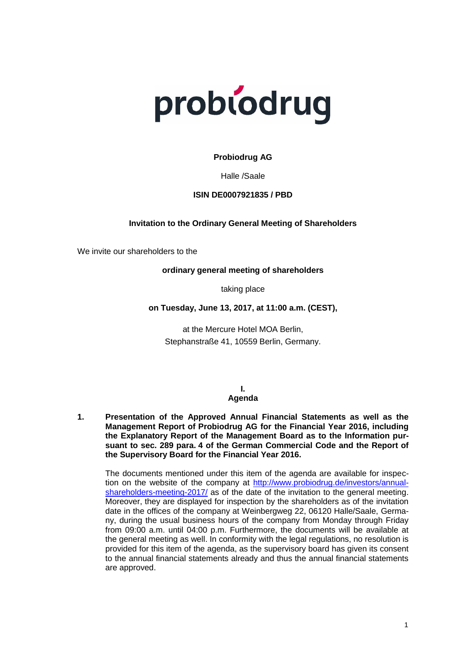

## **Probiodrug AG**

Halle /Saale

#### **ISIN DE0007921835 / PBD**

#### **Invitation to the Ordinary General Meeting of Shareholders**

We invite our shareholders to the

#### **ordinary general meeting of shareholders**

taking place

### **on Tuesday, June 13, 2017, at 11:00 a.m. (CEST),**

at the Mercure Hotel MOA Berlin, Stephanstraße 41, 10559 Berlin, Germany.

#### **I. Agenda**

**1. Presentation of the Approved Annual Financial Statements as well as the Management Report of Probiodrug AG for the Financial Year 2016, including the Explanatory Report of the Management Board as to the Information pursuant to sec. 289 para. 4 of the German Commercial Code and the Report of the Supervisory Board for the Financial Year 2016.**

The documents mentioned under this item of the agenda are available for inspection on the website of the company at [http://www.probiodrug.de/investors/annual](http://www.probiodrug.de/investors/annual-shareholders-meeting-2017/)[shareholders-meeting-2017/](http://www.probiodrug.de/investors/annual-shareholders-meeting-2017/) as of the date of the invitation to the general meeting. Moreover, they are displayed for inspection by the shareholders as of the invitation date in the offices of the company at Weinbergweg 22, 06120 Halle/Saale, Germany, during the usual business hours of the company from Monday through Friday from 09:00 a.m. until 04:00 p.m. Furthermore, the documents will be available at the general meeting as well. In conformity with the legal regulations, no resolution is provided for this item of the agenda, as the supervisory board has given its consent to the annual financial statements already and thus the annual financial statements are approved.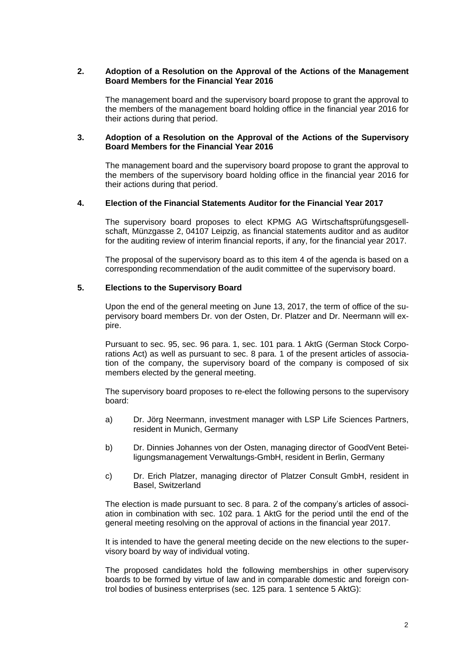#### **2. Adoption of a Resolution on the Approval of the Actions of the Management Board Members for the Financial Year 2016**

The management board and the supervisory board propose to grant the approval to the members of the management board holding office in the financial year 2016 for their actions during that period.

#### **3. Adoption of a Resolution on the Approval of the Actions of the Supervisory Board Members for the Financial Year 2016**

The management board and the supervisory board propose to grant the approval to the members of the supervisory board holding office in the financial year 2016 for their actions during that period.

### **4. Election of the Financial Statements Auditor for the Financial Year 2017**

The supervisory board proposes to elect KPMG AG Wirtschaftsprüfungsgesellschaft, Münzgasse 2, 04107 Leipzig, as financial statements auditor and as auditor for the auditing review of interim financial reports, if any, for the financial year 2017.

The proposal of the supervisory board as to this item 4 of the agenda is based on a corresponding recommendation of the audit committee of the supervisory board.

### **5. Elections to the Supervisory Board**

Upon the end of the general meeting on June 13, 2017, the term of office of the supervisory board members Dr. von der Osten, Dr. Platzer and Dr. Neermann will expire.

Pursuant to sec. 95, sec. 96 para. 1, sec. 101 para. 1 AktG (German Stock Corporations Act) as well as pursuant to sec. 8 para. 1 of the present articles of association of the company, the supervisory board of the company is composed of six members elected by the general meeting.

The supervisory board proposes to re-elect the following persons to the supervisory board:

- a) Dr. Jörg Neermann, investment manager with LSP Life Sciences Partners, resident in Munich, Germany
- b) Dr. Dinnies Johannes von der Osten, managing director of GoodVent Beteiligungsmanagement Verwaltungs-GmbH, resident in Berlin, Germany
- c) Dr. Erich Platzer, managing director of Platzer Consult GmbH, resident in Basel, Switzerland

The election is made pursuant to sec. 8 para. 2 of the company's articles of association in combination with sec. 102 para. 1 AktG for the period until the end of the general meeting resolving on the approval of actions in the financial year 2017.

It is intended to have the general meeting decide on the new elections to the supervisory board by way of individual voting.

The proposed candidates hold the following memberships in other supervisory boards to be formed by virtue of law and in comparable domestic and foreign control bodies of business enterprises (sec. 125 para. 1 sentence 5 AktG):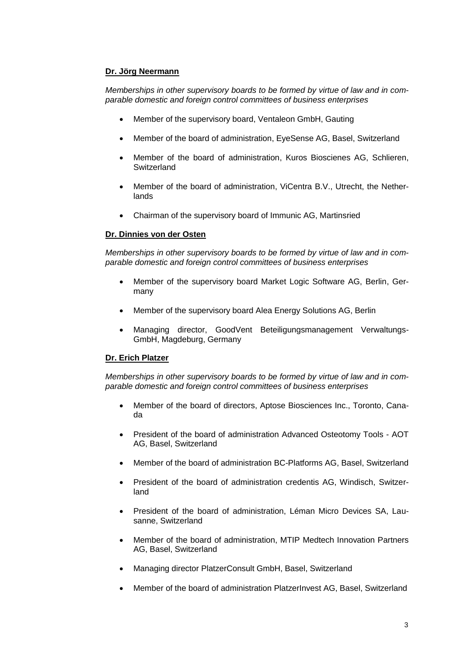# **Dr. Jörg Neermann**

*Memberships in other supervisory boards to be formed by virtue of law and in comparable domestic and foreign control committees of business enterprises*

- Member of the supervisory board, Ventaleon GmbH, Gauting
- Member of the board of administration, EyeSense AG, Basel, Switzerland
- Member of the board of administration, Kuros Bioscienes AG, Schlieren, **Switzerland**
- Member of the board of administration, ViCentra B.V., Utrecht, the Netherlands
- Chairman of the supervisory board of Immunic AG, Martinsried

### **Dr. Dinnies von der Osten**

*Memberships in other supervisory boards to be formed by virtue of law and in comparable domestic and foreign control committees of business enterprises*

- Member of the supervisory board Market Logic Software AG, Berlin, Germany
- Member of the supervisory board Alea Energy Solutions AG, Berlin
- Managing director, GoodVent Beteiligungsmanagement Verwaltungs-GmbH, Magdeburg, Germany

### **Dr. Erich Platzer**

*Memberships in other supervisory boards to be formed by virtue of law and in comparable domestic and foreign control committees of business enterprises* 

- Member of the board of directors, Aptose Biosciences Inc., Toronto, Canada
- President of the board of administration Advanced Osteotomy Tools AOT AG, Basel, Switzerland
- Member of the board of administration BC-Platforms AG, Basel, Switzerland
- President of the board of administration credentis AG, Windisch, Switzerland
- President of the board of administration, Léman Micro Devices SA, Lausanne, Switzerland
- Member of the board of administration, MTIP Medtech Innovation Partners AG, Basel, Switzerland
- Managing director PlatzerConsult GmbH, Basel, Switzerland
- Member of the board of administration PlatzerInvest AG, Basel, Switzerland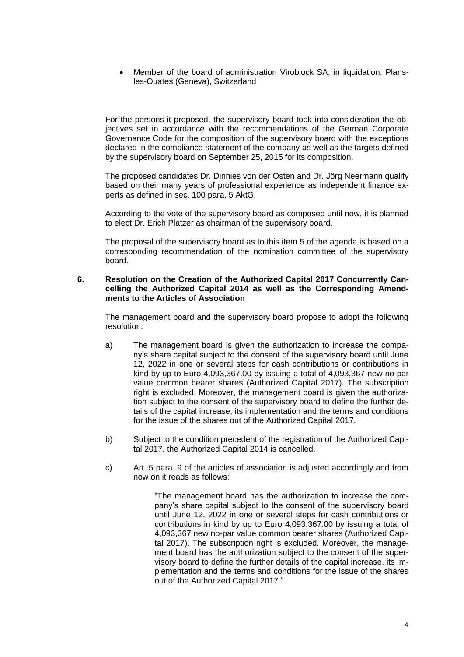Member of the board of administration Viroblock SA, in liquidation, Plansles-Ouates (Geneva), Switzerland

For the persons it proposed, the supervisory board took into consideration the objectives set in accordance with the recommendations of the German Corporate Governance Code for the composition of the supervisory board with the exceptions declared in the compliance statement of the company as well as the targets defined by the supervisory board on September 25, 2015 for its composition.

The proposed candidates Dr. Dinnies von der Osten and Dr. Jörg Neermann qualify based on their many years of professional experience as independent finance experts as defined in sec. 100 para. 5 AktG.

According to the vote of the supervisory board as composed until now, it is planned to elect Dr. Erich Platzer as chairman of the supervisory board.

The proposal of the supervisory board as to this item 5 of the agenda is based on a corresponding recommendation of the nomination committee of the supervisory board.

#### **6. Resolution on the Creation of the Authorized Capital 2017 Concurrently Cancelling the Authorized Capital 2014 as well as the Corresponding Amendments to the Articles of Association**

The management board and the supervisory board propose to adopt the following resolution:

- a) The management board is given the authorization to increase the company's share capital subject to the consent of the supervisory board until June 12, 2022 in one or several steps for cash contributions or contributions in kind by up to Euro 4,093,367.00 by issuing a total of 4,093,367 new no-par value common bearer shares (Authorized Capital 2017). The subscription right is excluded. Moreover, the management board is given the authorization subject to the consent of the supervisory board to define the further details of the capital increase, its implementation and the terms and conditions for the issue of the shares out of the Authorized Capital 2017.
- b) Subject to the condition precedent of the registration of the Authorized Capital 2017, the Authorized Capital 2014 is cancelled.
- c) Art. 5 para. 9 of the articles of association is adjusted accordingly and from now on it reads as follows:

"The management board has the authorization to increase the company's share capital subject to the consent of the supervisory board until June 12, 2022 in one or several steps for cash contributions or contributions in kind by up to Euro 4,093,367.00 by issuing a total of 4,093,367 new no-par value common bearer shares (Authorized Capital 2017). The subscription right is excluded. Moreover, the management board has the authorization subject to the consent of the supervisory board to define the further details of the capital increase, its implementation and the terms and conditions for the issue of the shares out of the Authorized Capital 2017."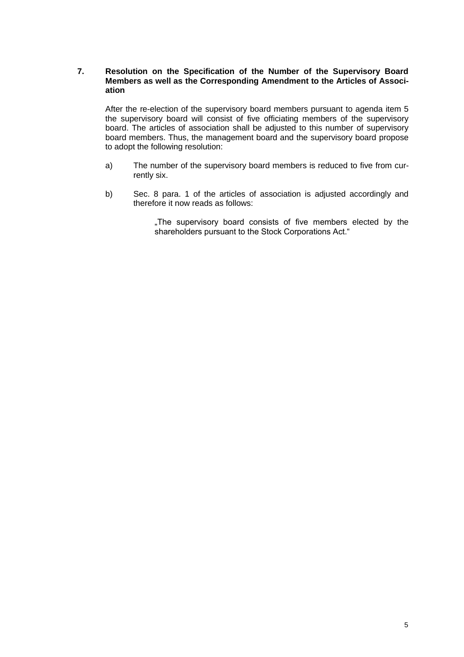## **7. Resolution on the Specification of the Number of the Supervisory Board Members as well as the Corresponding Amendment to the Articles of Association**

After the re-election of the supervisory board members pursuant to agenda item 5 the supervisory board will consist of five officiating members of the supervisory board. The articles of association shall be adjusted to this number of supervisory board members. Thus, the management board and the supervisory board propose to adopt the following resolution:

- a) The number of the supervisory board members is reduced to five from currently six.
- b) Sec. 8 para. 1 of the articles of association is adjusted accordingly and therefore it now reads as follows:

"The supervisory board consists of five members elected by the shareholders pursuant to the Stock Corporations Act."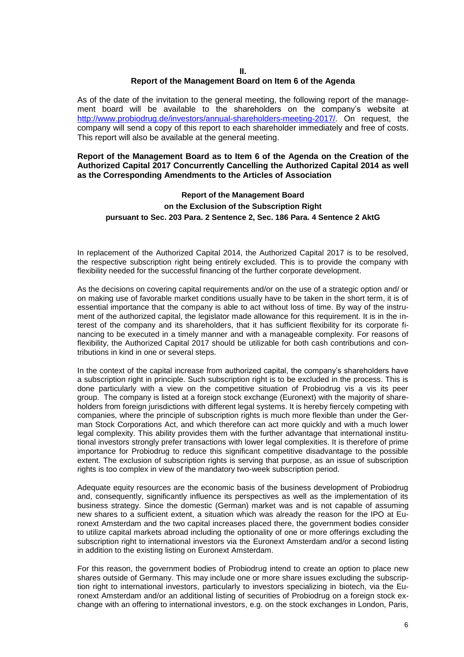#### **II. Report of the Management Board on Item 6 of the Agenda**

As of the date of the invitation to the general meeting, the following report of the management board will be available to the shareholders on the company's website at [http://www.probiodrug.de/investors/annual-shareholders-meeting-2017/.](http://www.probiodrug.de/investors/annual-shareholders-meeting-2017/) On request, the company will send a copy of this report to each shareholder immediately and free of costs. This report will also be available at the general meeting.

#### **Report of the Management Board as to Item 6 of the Agenda on the Creation of the Authorized Capital 2017 Concurrently Cancelling the Authorized Capital 2014 as well as the Corresponding Amendments to the Articles of Association**

# **Report of the Management Board on the Exclusion of the Subscription Right pursuant to Sec. 203 Para. 2 Sentence 2, Sec. 186 Para. 4 Sentence 2 AktG**

In replacement of the Authorized Capital 2014, the Authorized Capital 2017 is to be resolved, the respective subscription right being entirely excluded. This is to provide the company with flexibility needed for the successful financing of the further corporate development.

As the decisions on covering capital requirements and/or on the use of a strategic option and/ or on making use of favorable market conditions usually have to be taken in the short term, it is of essential importance that the company is able to act without loss of time. By way of the instrument of the authorized capital, the legislator made allowance for this requirement. It is in the interest of the company and its shareholders, that it has sufficient flexibility for its corporate financing to be executed in a timely manner and with a manageable complexity. For reasons of flexibility, the Authorized Capital 2017 should be utilizable for both cash contributions and contributions in kind in one or several steps.

In the context of the capital increase from authorized capital, the company's shareholders have a subscription right in principle. Such subscription right is to be excluded in the process. This is done particularly with a view on the competitive situation of Probiodrug vis a vis its peer group. The company is listed at a foreign stock exchange (Euronext) with the majority of shareholders from foreign jurisdictions with different legal systems. It is hereby fiercely competing with companies, where the principle of subscription rights is much more flexible than under the German Stock Corporations Act, and which therefore can act more quickly and with a much lower legal complexity. This ability provides them with the further advantage that international institutional investors strongly prefer transactions with lower legal complexities. It is therefore of prime importance for Probiodrug to reduce this significant competitive disadvantage to the possible extent. The exclusion of subscription rights is serving that purpose, as an issue of subscription rights is too complex in view of the mandatory two-week subscription period.

Adequate equity resources are the economic basis of the business development of Probiodrug and, consequently, significantly influence its perspectives as well as the implementation of its business strategy. Since the domestic (German) market was and is not capable of assuming new shares to a sufficient extent, a situation which was already the reason for the IPO at Euronext Amsterdam and the two capital increases placed there, the government bodies consider to utilize capital markets abroad including the optionality of one or more offerings excluding the subscription right to international investors via the Euronext Amsterdam and/or a second listing in addition to the existing listing on Euronext Amsterdam.

For this reason, the government bodies of Probiodrug intend to create an option to place new shares outside of Germany. This may include one or more share issues excluding the subscription right to international investors, particularly to investors specializing in biotech, via the Euronext Amsterdam and/or an additional listing of securities of Probiodrug on a foreign stock exchange with an offering to international investors, e.g. on the stock exchanges in London, Paris,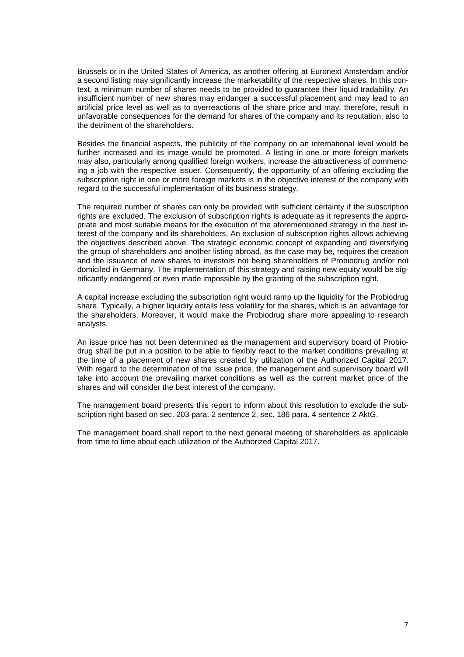Brussels or in the United States of America, as another offering at Euronext Amsterdam and/or a second listing may significantly increase the marketability of the respective shares. In this context, a minimum number of shares needs to be provided to guarantee their liquid tradability. An insufficient number of new shares may endanger a successful placement and may lead to an artificial price level as well as to overreactions of the share price and may, therefore, result in unfavorable consequences for the demand for shares of the company and its reputation, also to the detriment of the shareholders.

Besides the financial aspects, the publicity of the company on an international level would be further increased and its image would be promoted. A listing in one or more foreign markets may also, particularly among qualified foreign workers, increase the attractiveness of commencing a job with the respective issuer. Consequently, the opportunity of an offering excluding the subscription right in one or more foreign markets is in the objective interest of the company with regard to the successful implementation of its business strategy.

The required number of shares can only be provided with sufficient certainty if the subscription rights are excluded. The exclusion of subscription rights is adequate as it represents the appropriate and most suitable means for the execution of the aforementioned strategy in the best interest of the company and its shareholders. An exclusion of subscription rights allows achieving the objectives described above. The strategic economic concept of expanding and diversifying the group of shareholders and another listing abroad, as the case may be, requires the creation and the issuance of new shares to investors not being shareholders of Probiodrug and/or not domiciled in Germany. The implementation of this strategy and raising new equity would be significantly endangered or even made impossible by the granting of the subscription right.

A capital increase excluding the subscription right would ramp up the liquidity for the Probiodrug share. Typically, a higher liquidity entails less volatility for the shares, which is an advantage for the shareholders. Moreover, it would make the Probiodrug share more appealing to research analysts.

An issue price has not been determined as the management and supervisory board of Probiodrug shall be put in a position to be able to flexibly react to the market conditions prevailing at the time of a placement of new shares created by utilization of the Authorized Capital 2017. With regard to the determination of the issue price, the management and supervisory board will take into account the prevailing market conditions as well as the current market price of the shares and will consider the best interest of the company.

The management board presents this report to inform about this resolution to exclude the subscription right based on sec. 203 para. 2 sentence 2, sec. 186 para. 4 sentence 2 AktG.

The management board shall report to the next general meeting of shareholders as applicable from time to time about each utilization of the Authorized Capital 2017.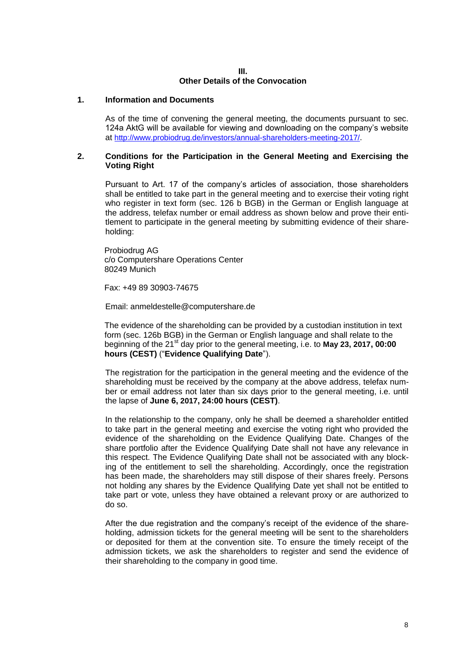### **III. Other Details of the Convocation**

# **1. Information and Documents**

As of the time of convening the general meeting, the documents pursuant to sec. 124a AktG will be available for viewing and downloading on the company's website at <http://www.probiodrug.de/investors/annual-shareholders-meeting-2017/>.

#### **2. Conditions for the Participation in the General Meeting and Exercising the Voting Right**

Pursuant to Art. 17 of the company's articles of association, those shareholders shall be entitled to take part in the general meeting and to exercise their voting right who register in text form (sec. 126 b BGB) in the German or English language at the address, telefax number or email address as shown below and prove their entitlement to participate in the general meeting by submitting evidence of their shareholding:

Probiodrug AG c/o Computershare Operations Center 80249 Munich

Fax: +49 89 30903-74675

Email: anmeldestelle@computershare.de

The evidence of the shareholding can be provided by a custodian institution in text form (sec. 126b BGB) in the German or English language and shall relate to the beginning of the 21st day prior to the general meeting, i.e. to **May 23, 2017, 00:00 hours (CEST)** ("**Evidence Qualifying Date**").

The registration for the participation in the general meeting and the evidence of the shareholding must be received by the company at the above address, telefax number or email address not later than six days prior to the general meeting, i.e. until the lapse of **June 6, 2017, 24:00 hours (CEST)**.

In the relationship to the company, only he shall be deemed a shareholder entitled to take part in the general meeting and exercise the voting right who provided the evidence of the shareholding on the Evidence Qualifying Date. Changes of the share portfolio after the Evidence Qualifying Date shall not have any relevance in this respect. The Evidence Qualifying Date shall not be associated with any blocking of the entitlement to sell the shareholding. Accordingly, once the registration has been made, the shareholders may still dispose of their shares freely. Persons not holding any shares by the Evidence Qualifying Date yet shall not be entitled to take part or vote, unless they have obtained a relevant proxy or are authorized to do so.

After the due registration and the company's receipt of the evidence of the shareholding, admission tickets for the general meeting will be sent to the shareholders or deposited for them at the convention site. To ensure the timely receipt of the admission tickets, we ask the shareholders to register and send the evidence of their shareholding to the company in good time.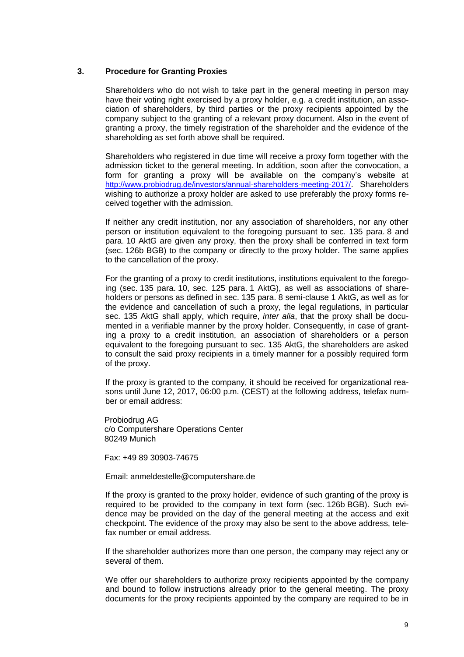## **3. Procedure for Granting Proxies**

Shareholders who do not wish to take part in the general meeting in person may have their voting right exercised by a proxy holder, e.g. a credit institution, an association of shareholders, by third parties or the proxy recipients appointed by the company subject to the granting of a relevant proxy document. Also in the event of granting a proxy, the timely registration of the shareholder and the evidence of the shareholding as set forth above shall be required.

Shareholders who registered in due time will receive a proxy form together with the admission ticket to the general meeting. In addition, soon after the convocation, a form for granting a proxy will be available on the company's website at <http://www.probiodrug.de/investors/annual-shareholders-meeting-2017/>. Shareholders wishing to authorize a proxy holder are asked to use preferably the proxy forms received together with the admission.

If neither any credit institution, nor any association of shareholders, nor any other person or institution equivalent to the foregoing pursuant to sec. 135 para. 8 and para. 10 AktG are given any proxy, then the proxy shall be conferred in text form (sec. 126b BGB) to the company or directly to the proxy holder. The same applies to the cancellation of the proxy.

For the granting of a proxy to credit institutions, institutions equivalent to the foregoing (sec. 135 para. 10, sec. 125 para. 1 AktG), as well as associations of shareholders or persons as defined in sec. 135 para. 8 semi-clause 1 AktG, as well as for the evidence and cancellation of such a proxy, the legal regulations, in particular sec. 135 AktG shall apply, which require, *inter alia*, that the proxy shall be documented in a verifiable manner by the proxy holder. Consequently, in case of granting a proxy to a credit institution, an association of shareholders or a person equivalent to the foregoing pursuant to sec. 135 AktG, the shareholders are asked to consult the said proxy recipients in a timely manner for a possibly required form of the proxy.

If the proxy is granted to the company, it should be received for organizational reasons until June 12, 2017, 06:00 p.m. (CEST) at the following address, telefax number or email address:

Probiodrug AG c/o Computershare Operations Center 80249 Munich

Fax: +49 89 30903-74675

Email: anmeldestelle@computershare.de

If the proxy is granted to the proxy holder, evidence of such granting of the proxy is required to be provided to the company in text form (sec. 126b BGB). Such evidence may be provided on the day of the general meeting at the access and exit checkpoint. The evidence of the proxy may also be sent to the above address, telefax number or email address.

If the shareholder authorizes more than one person, the company may reject any or several of them.

We offer our shareholders to authorize proxy recipients appointed by the company and bound to follow instructions already prior to the general meeting. The proxy documents for the proxy recipients appointed by the company are required to be in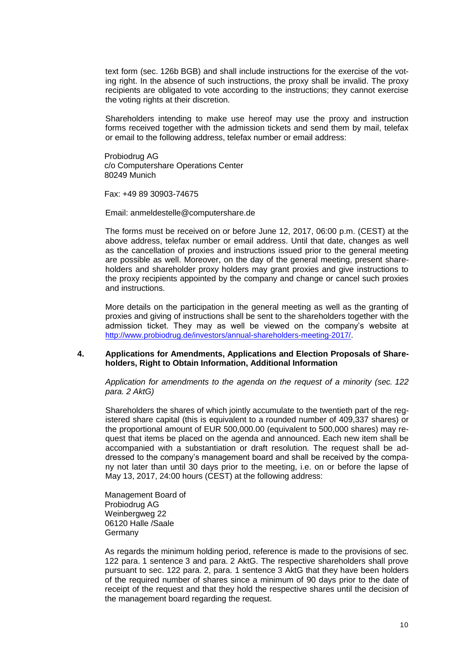text form (sec. 126b BGB) and shall include instructions for the exercise of the voting right. In the absence of such instructions, the proxy shall be invalid. The proxy recipients are obligated to vote according to the instructions; they cannot exercise the voting rights at their discretion.

Shareholders intending to make use hereof may use the proxy and instruction forms received together with the admission tickets and send them by mail, telefax or email to the following address, telefax number or email address:

Probiodrug AG c/o Computershare Operations Center 80249 Munich

Fax: +49 89 30903-74675

Email: anmeldestelle@computershare.de

The forms must be received on or before June 12, 2017, 06:00 p.m. (CEST) at the above address, telefax number or email address. Until that date, changes as well as the cancellation of proxies and instructions issued prior to the general meeting are possible as well. Moreover, on the day of the general meeting, present shareholders and shareholder proxy holders may grant proxies and give instructions to the proxy recipients appointed by the company and change or cancel such proxies and instructions.

More details on the participation in the general meeting as well as the granting of proxies and giving of instructions shall be sent to the shareholders together with the admission ticket. They may as well be viewed on the company's website at <http://www.probiodrug.de/investors/annual-shareholders-meeting-2017/>.

#### **4. Applications for Amendments, Applications and Election Proposals of Shareholders, Right to Obtain Information, Additional Information**

*Application for amendments to the agenda on the request of a minority (sec. 122 para. 2 AktG)*

Shareholders the shares of which jointly accumulate to the twentieth part of the registered share capital (this is equivalent to a rounded number of 409,337 shares) or the proportional amount of EUR 500,000.00 (equivalent to 500,000 shares) may request that items be placed on the agenda and announced. Each new item shall be accompanied with a substantiation or draft resolution. The request shall be addressed to the company's management board and shall be received by the company not later than until 30 days prior to the meeting, i.e. on or before the lapse of May 13, 2017, 24:00 hours (CEST) at the following address:

Management Board of Probiodrug AG Weinbergweg 22 06120 Halle /Saale **Germany** 

As regards the minimum holding period, reference is made to the provisions of sec. 122 para. 1 sentence 3 and para. 2 AktG. The respective shareholders shall prove pursuant to sec. 122 para. 2, para. 1 sentence 3 AktG that they have been holders of the required number of shares since a minimum of 90 days prior to the date of receipt of the request and that they hold the respective shares until the decision of the management board regarding the request.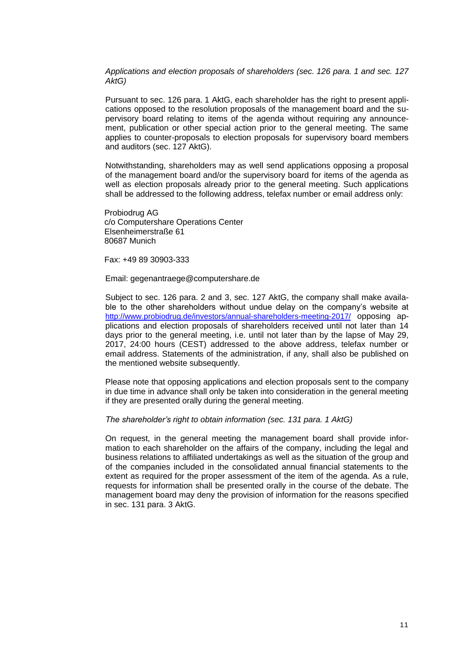*Applications and election proposals of shareholders (sec. 126 para. 1 and sec. 127 AktG)*

Pursuant to sec. 126 para. 1 AktG, each shareholder has the right to present applications opposed to the resolution proposals of the management board and the supervisory board relating to items of the agenda without requiring any announcement, publication or other special action prior to the general meeting. The same applies to counter-proposals to election proposals for supervisory board members and auditors (sec. 127 AktG).

Notwithstanding, shareholders may as well send applications opposing a proposal of the management board and/or the supervisory board for items of the agenda as well as election proposals already prior to the general meeting. Such applications shall be addressed to the following address, telefax number or email address only:

Probiodrug AG c/o Computershare Operations Center Elsenheimerstraße 61 80687 Munich

Fax: +49 89 30903-333

Email: gegenantraege@computershare.de

Subject to sec. 126 para. 2 and 3, sec. 127 AktG, the company shall make available to the other shareholders without undue delay on the company's website at <http://www.probiodrug.de/investors/annual-shareholders-meeting-2017/> opposing applications and election proposals of shareholders received until not later than 14 days prior to the general meeting, i.e. until not later than by the lapse of May 29, 2017, 24:00 hours (CEST) addressed to the above address, telefax number or email address. Statements of the administration, if any, shall also be published on the mentioned website subsequently.

Please note that opposing applications and election proposals sent to the company in due time in advance shall only be taken into consideration in the general meeting if they are presented orally during the general meeting.

*The shareholder's right to obtain information (sec. 131 para. 1 AktG)*

On request, in the general meeting the management board shall provide information to each shareholder on the affairs of the company, including the legal and business relations to affiliated undertakings as well as the situation of the group and of the companies included in the consolidated annual financial statements to the extent as required for the proper assessment of the item of the agenda. As a rule, requests for information shall be presented orally in the course of the debate. The management board may deny the provision of information for the reasons specified in sec. 131 para. 3 AktG.